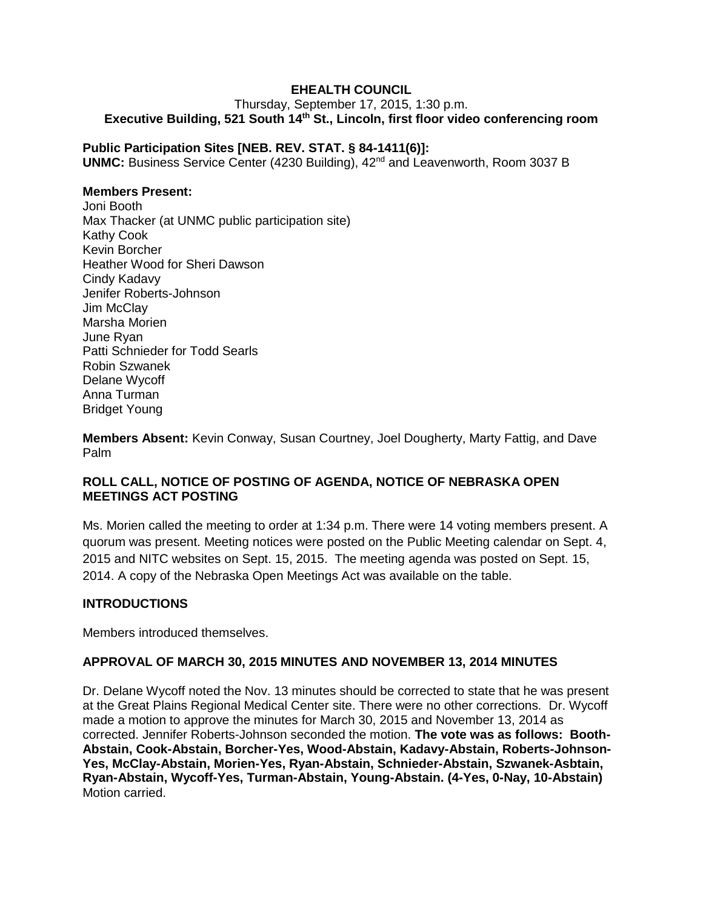# **EHEALTH COUNCIL**

Thursday, September 17, 2015, 1:30 p.m. **Executive Building, 521 South 14th St., Lincoln, first floor video conferencing room**

#### **Public Participation Sites [NEB. REV. STAT. § 84-1411(6)]:**

**UNMC:** Business Service Center (4230 Building), 42<sup>nd</sup> and Leavenworth, Room 3037 B

## **Members Present:**

Joni Booth Max Thacker (at UNMC public participation site) Kathy Cook Kevin Borcher Heather Wood for Sheri Dawson Cindy Kadavy Jenifer Roberts-Johnson Jim McClay Marsha Morien June Ryan Patti Schnieder for Todd Searls Robin Szwanek Delane Wycoff Anna Turman Bridget Young

**Members Absent:** Kevin Conway, Susan Courtney, Joel Dougherty, Marty Fattig, and Dave Palm

## **ROLL CALL, NOTICE OF POSTING OF AGENDA, NOTICE OF NEBRASKA OPEN MEETINGS ACT POSTING**

Ms. Morien called the meeting to order at 1:34 p.m. There were 14 voting members present. A quorum was present. Meeting notices were posted on the Public Meeting calendar on Sept. 4, 2015 and NITC websites on Sept. 15, 2015. The meeting agenda was posted on Sept. 15, 2014. A copy of the Nebraska Open Meetings Act was available on the table.

#### **INTRODUCTIONS**

Members introduced themselves.

## **APPROVAL OF MARCH 30, 2015 MINUTES AND NOVEMBER 13, 2014 MINUTES**

Dr. Delane Wycoff noted the Nov. 13 minutes should be corrected to state that he was present at the Great Plains Regional Medical Center site. There were no other corrections. Dr. Wycoff made a motion to approve the minutes for March 30, 2015 and November 13, 2014 as corrected. Jennifer Roberts-Johnson seconded the motion. **The vote was as follows: Booth-Abstain, Cook-Abstain, Borcher-Yes, Wood-Abstain, Kadavy-Abstain, Roberts-Johnson-Yes, McClay-Abstain, Morien-Yes, Ryan-Abstain, Schnieder-Abstain, Szwanek-Asbtain, Ryan-Abstain, Wycoff-Yes, Turman-Abstain, Young-Abstain. (4-Yes, 0-Nay, 10-Abstain)**  Motion carried.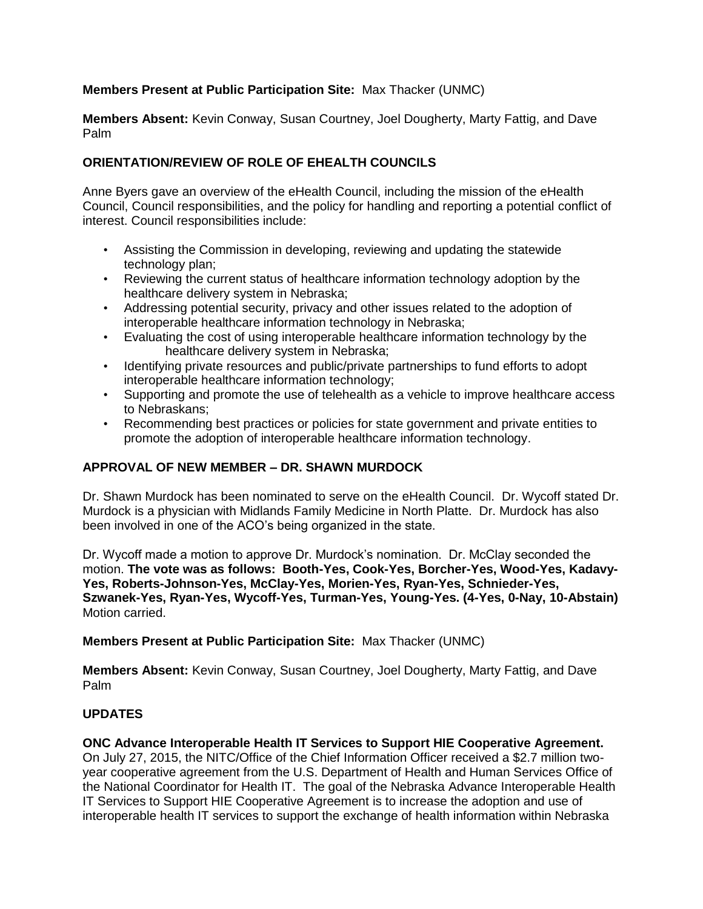## **Members Present at Public Participation Site:** Max Thacker (UNMC)

**Members Absent:** Kevin Conway, Susan Courtney, Joel Dougherty, Marty Fattig, and Dave Palm

## **ORIENTATION/REVIEW OF ROLE OF EHEALTH COUNCILS**

Anne Byers gave an overview of the eHealth Council, including the mission of the eHealth Council, Council responsibilities, and the policy for handling and reporting a potential conflict of interest. Council responsibilities include:

- Assisting the Commission in developing, reviewing and updating the statewide technology plan;
- Reviewing the current status of healthcare information technology adoption by the healthcare delivery system in Nebraska;
- Addressing potential security, privacy and other issues related to the adoption of interoperable healthcare information technology in Nebraska;
- Evaluating the cost of using interoperable healthcare information technology by the healthcare delivery system in Nebraska;
- Identifying private resources and public/private partnerships to fund efforts to adopt interoperable healthcare information technology;
- Supporting and promote the use of telehealth as a vehicle to improve healthcare access to Nebraskans;
- Recommending best practices or policies for state government and private entities to promote the adoption of interoperable healthcare information technology.

## **APPROVAL OF NEW MEMBER – DR. SHAWN MURDOCK**

Dr. Shawn Murdock has been nominated to serve on the eHealth Council. Dr. Wycoff stated Dr. Murdock is a physician with Midlands Family Medicine in North Platte. Dr. Murdock has also been involved in one of the ACO's being organized in the state.

Dr. Wycoff made a motion to approve Dr. Murdock's nomination. Dr. McClay seconded the motion. **The vote was as follows: Booth-Yes, Cook-Yes, Borcher-Yes, Wood-Yes, Kadavy-Yes, Roberts-Johnson-Yes, McClay-Yes, Morien-Yes, Ryan-Yes, Schnieder-Yes, Szwanek-Yes, Ryan-Yes, Wycoff-Yes, Turman-Yes, Young-Yes. (4-Yes, 0-Nay, 10-Abstain)**  Motion carried.

**Members Present at Public Participation Site:** Max Thacker (UNMC)

**Members Absent:** Kevin Conway, Susan Courtney, Joel Dougherty, Marty Fattig, and Dave Palm

# **UPDATES**

## **ONC Advance Interoperable Health IT Services to Support HIE Cooperative Agreement.**

On July 27, 2015, the NITC/Office of the Chief Information Officer received a \$2.7 million twoyear cooperative agreement from the U.S. Department of Health and Human Services Office of the National Coordinator for Health IT. The goal of the Nebraska Advance Interoperable Health IT Services to Support HIE Cooperative Agreement is to increase the adoption and use of interoperable health IT services to support the exchange of health information within Nebraska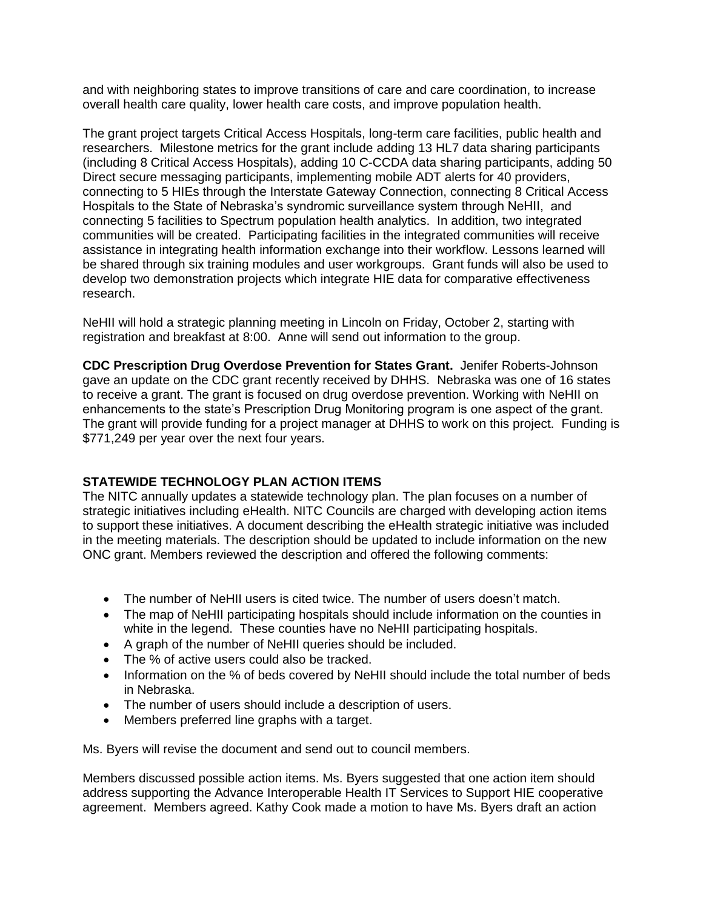and with neighboring states to improve transitions of care and care coordination, to increase overall health care quality, lower health care costs, and improve population health.

The grant project targets Critical Access Hospitals, long-term care facilities, public health and researchers. Milestone metrics for the grant include adding 13 HL7 data sharing participants (including 8 Critical Access Hospitals), adding 10 C-CCDA data sharing participants, adding 50 Direct secure messaging participants, implementing mobile ADT alerts for 40 providers, connecting to 5 HIEs through the Interstate Gateway Connection, connecting 8 Critical Access Hospitals to the State of Nebraska's syndromic surveillance system through NeHII, and connecting 5 facilities to Spectrum population health analytics. In addition, two integrated communities will be created. Participating facilities in the integrated communities will receive assistance in integrating health information exchange into their workflow. Lessons learned will be shared through six training modules and user workgroups. Grant funds will also be used to develop two demonstration projects which integrate HIE data for comparative effectiveness research.

NeHII will hold a strategic planning meeting in Lincoln on Friday, October 2, starting with registration and breakfast at 8:00. Anne will send out information to the group.

**CDC Prescription Drug Overdose Prevention for States Grant.** Jenifer Roberts-Johnson gave an update on the CDC grant recently received by DHHS. Nebraska was one of 16 states to receive a grant. The grant is focused on drug overdose prevention. Working with NeHII on enhancements to the state's Prescription Drug Monitoring program is one aspect of the grant. The grant will provide funding for a project manager at DHHS to work on this project. Funding is \$771,249 per year over the next four years.

## **STATEWIDE TECHNOLOGY PLAN ACTION ITEMS**

The NITC annually updates a statewide technology plan. The plan focuses on a number of strategic initiatives including eHealth. NITC Councils are charged with developing action items to support these initiatives. A document describing the eHealth strategic initiative was included in the meeting materials. The description should be updated to include information on the new ONC grant. Members reviewed the description and offered the following comments:

- The number of NeHII users is cited twice. The number of users doesn't match.
- The map of NeHII participating hospitals should include information on the counties in white in the legend. These counties have no NeHII participating hospitals.
- A graph of the number of NeHII queries should be included.
- The % of active users could also be tracked.
- Information on the % of beds covered by NeHII should include the total number of beds in Nebraska.
- The number of users should include a description of users.
- Members preferred line graphs with a target.

Ms. Byers will revise the document and send out to council members.

Members discussed possible action items. Ms. Byers suggested that one action item should address supporting the Advance Interoperable Health IT Services to Support HIE cooperative agreement. Members agreed. Kathy Cook made a motion to have Ms. Byers draft an action